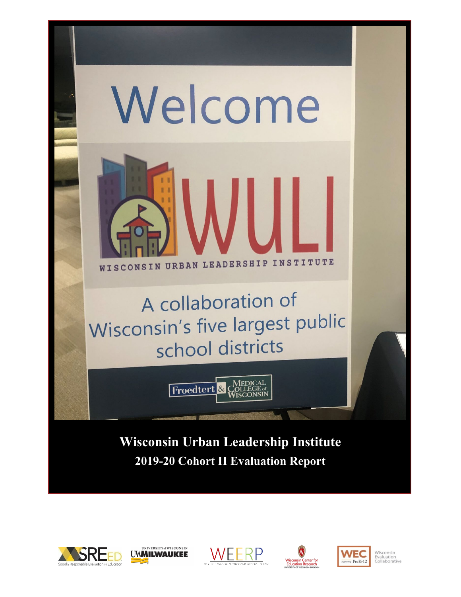

**2019-20 Cohort II Evaluation Report**









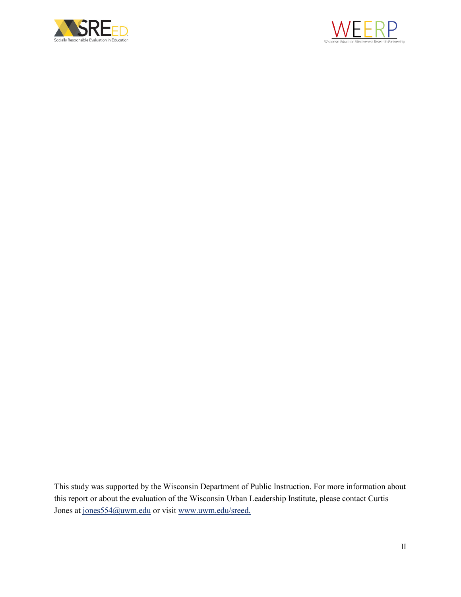



This study was supported by the Wisconsin Department of Public Instruction. For more information about this report or about the evaluation of the Wisconsin Urban Leadership Institute, please contact Curtis Jones at [jones554@uwm.edu](mailto:jones554@uwm.edu) or visi[t www.uwm.edu/sreed.](http://www.uwm.edu/sreed)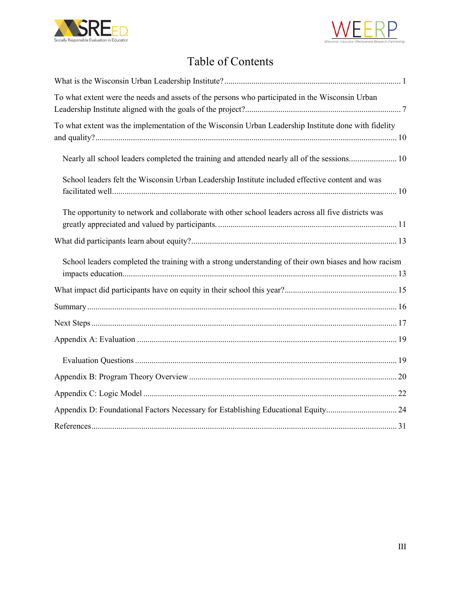



# Table of Contents

| To what extent were the needs and assets of the persons who participated in the Wisconsin Urban      |
|------------------------------------------------------------------------------------------------------|
| To what extent was the implementation of the Wisconsin Urban Leadership Institute done with fidelity |
| Nearly all school leaders completed the training and attended nearly all of the sessions 10          |
| School leaders felt the Wisconsin Urban Leadership Institute included effective content and was      |
| The opportunity to network and collaborate with other school leaders across all five districts was   |
|                                                                                                      |
| School leaders completed the training with a strong understanding of their own biases and how racism |
|                                                                                                      |
|                                                                                                      |
|                                                                                                      |
|                                                                                                      |
|                                                                                                      |
|                                                                                                      |
|                                                                                                      |
| Appendix D: Foundational Factors Necessary for Establishing Educational Equity 24                    |
|                                                                                                      |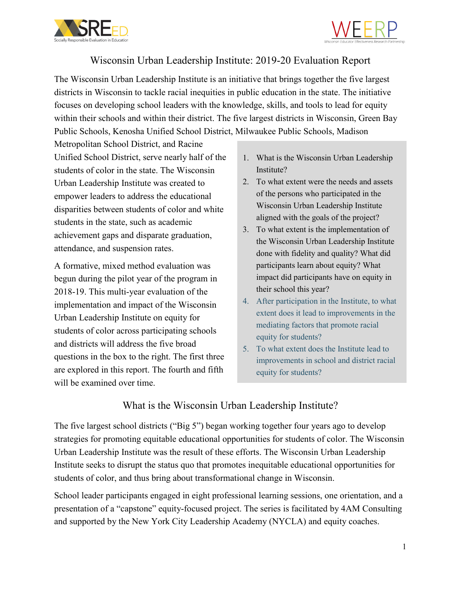



## Wisconsin Urban Leadership Institute: 2019-20 Evaluation Report

The Wisconsin Urban Leadership Institute is an initiative that brings together the five largest districts in Wisconsin to tackle racial inequities in public education in the state. The initiative focuses on developing school leaders with the knowledge, skills, and tools to lead for equity within their schools and within their district. The five largest districts in Wisconsin, Green Bay Public Schools, Kenosha Unified School District, Milwaukee Public Schools, Madison

Metropolitan School District, and Racine Unified School District, serve nearly half of the students of color in the state. The Wisconsin Urban Leadership Institute was created to empower leaders to address the educational disparities between students of color and white students in the state, such as academic achievement gaps and disparate graduation, attendance, and suspension rates.

A formative, mixed method evaluation was begun during the pilot year of the program in 2018-19. This multi-year evaluation of the implementation and impact of the Wisconsin Urban Leadership Institute on equity for students of color across participating schools and districts will address the five broad questions in the box to the right. The first three are explored in this report. The fourth and fifth will be examined over time.

- 1. What is the Wisconsin Urban Leadership Institute?
- 2. To what extent were the needs and assets of the persons who participated in the Wisconsin Urban Leadership Institute aligned with the goals of the project?
- 3. To what extent is the implementation of the Wisconsin Urban Leadership Institute done with fidelity and quality? What did participants learn about equity? What impact did participants have on equity in their school this year?
- 4. After participation in the Institute, to what extent does it lead to improvements in the mediating factors that promote racial equity for students?
- 5. To what extent does the Institute lead to improvements in school and district racial equity for students?

## What is the Wisconsin Urban Leadership Institute?

<span id="page-3-0"></span>The five largest school districts ("Big 5") began working together four years ago to develop strategies for promoting equitable educational opportunities for students of color. The Wisconsin Urban Leadership Institute was the result of these efforts. The Wisconsin Urban Leadership Institute seeks to disrupt the status quo that promotes inequitable educational opportunities for students of color, and thus bring about transformational change in Wisconsin.

School leader participants engaged in eight professional learning sessions, one orientation, and a presentation of a "capstone" equity-focused project. The series is facilitated by 4AM Consulting and supported by the New York City Leadership Academy (NYCLA) and equity coaches.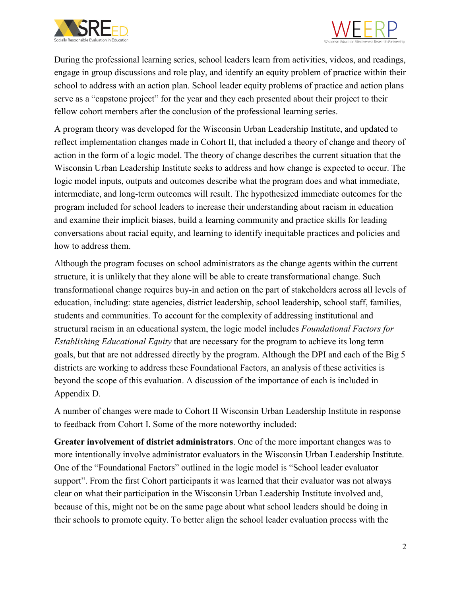



During the professional learning series, school leaders learn from activities, videos, and readings, engage in group discussions and role play, and identify an equity problem of practice within their school to address with an action plan. School leader equity problems of practice and action plans serve as a "capstone project" for the year and they each presented about their project to their fellow cohort members after the conclusion of the professional learning series.

A program theory was developed for the Wisconsin Urban Leadership Institute, and updated to reflect implementation changes made in Cohort II, that included a theory of change and theory of action in the form of a logic model. The theory of change describes the current situation that the Wisconsin Urban Leadership Institute seeks to address and how change is expected to occur. The logic model inputs, outputs and outcomes describe what the program does and what immediate, intermediate, and long-term outcomes will result. The hypothesized immediate outcomes for the program included for school leaders to increase their understanding about racism in education and examine their implicit biases, build a learning community and practice skills for leading conversations about racial equity, and learning to identify inequitable practices and policies and how to address them.

Although the program focuses on school administrators as the change agents within the current structure, it is unlikely that they alone will be able to create transformational change. Such transformational change requires buy-in and action on the part of stakeholders across all levels of education, including: state agencies, district leadership, school leadership, school staff, families, students and communities. To account for the complexity of addressing institutional and structural racism in an educational system, the logic model includes *Foundational Factors for Establishing Educational Equity* that are necessary for the program to achieve its long term goals, but that are not addressed directly by the program. Although the DPI and each of the Big 5 districts are working to address these Foundational Factors, an analysis of these activities is beyond the scope of this evaluation. A discussion of the importance of each is included in Appendix D.

A number of changes were made to Cohort II Wisconsin Urban Leadership Institute in response to feedback from Cohort I. Some of the more noteworthy included:

**Greater involvement of district administrators**. One of the more important changes was to more intentionally involve administrator evaluators in the Wisconsin Urban Leadership Institute. One of the "Foundational Factors" outlined in the logic model is "School leader evaluator support". From the first Cohort participants it was learned that their evaluator was not always clear on what their participation in the Wisconsin Urban Leadership Institute involved and, because of this, might not be on the same page about what school leaders should be doing in their schools to promote equity. To better align the school leader evaluation process with the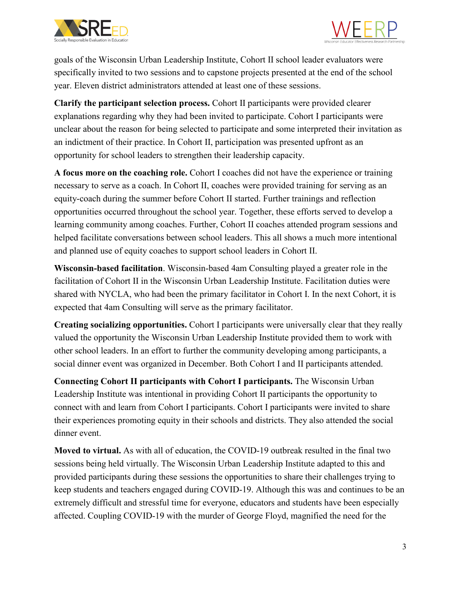



goals of the Wisconsin Urban Leadership Institute, Cohort II school leader evaluators were specifically invited to two sessions and to capstone projects presented at the end of the school year. Eleven district administrators attended at least one of these sessions.

**Clarify the participant selection process.** Cohort II participants were provided clearer explanations regarding why they had been invited to participate. Cohort I participants were unclear about the reason for being selected to participate and some interpreted their invitation as an indictment of their practice. In Cohort II, participation was presented upfront as an opportunity for school leaders to strengthen their leadership capacity.

**A focus more on the coaching role.** Cohort I coaches did not have the experience or training necessary to serve as a coach. In Cohort II, coaches were provided training for serving as an equity-coach during the summer before Cohort II started. Further trainings and reflection opportunities occurred throughout the school year. Together, these efforts served to develop a learning community among coaches. Further, Cohort II coaches attended program sessions and helped facilitate conversations between school leaders. This all shows a much more intentional and planned use of equity coaches to support school leaders in Cohort II.

**Wisconsin-based facilitation**. Wisconsin-based 4am Consulting played a greater role in the facilitation of Cohort II in the Wisconsin Urban Leadership Institute. Facilitation duties were shared with NYCLA, who had been the primary facilitator in Cohort I. In the next Cohort, it is expected that 4am Consulting will serve as the primary facilitator.

**Creating socializing opportunities.** Cohort I participants were universally clear that they really valued the opportunity the Wisconsin Urban Leadership Institute provided them to work with other school leaders. In an effort to further the community developing among participants, a social dinner event was organized in December. Both Cohort I and II participants attended.

**Connecting Cohort II participants with Cohort I participants.** The Wisconsin Urban Leadership Institute was intentional in providing Cohort II participants the opportunity to connect with and learn from Cohort I participants. Cohort I participants were invited to share their experiences promoting equity in their schools and districts. They also attended the social dinner event.

**Moved to virtual.** As with all of education, the COVID-19 outbreak resulted in the final two sessions being held virtually. The Wisconsin Urban Leadership Institute adapted to this and provided participants during these sessions the opportunities to share their challenges trying to keep students and teachers engaged during COVID-19. Although this was and continues to be an extremely difficult and stressful time for everyone, educators and students have been especially affected. Coupling COVID-19 with the murder of George Floyd, magnified the need for the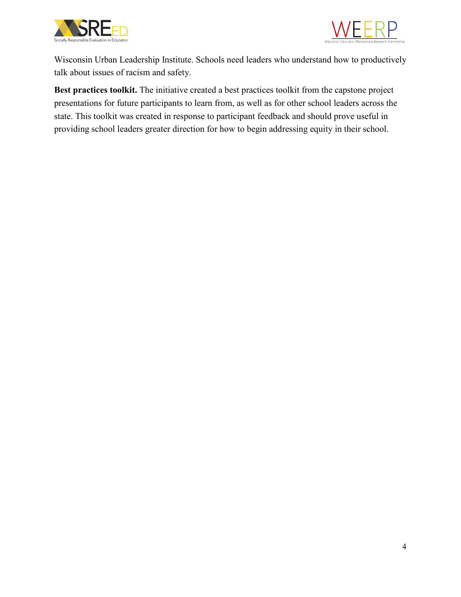



Wisconsin Urban Leadership Institute. Schools need leaders who understand how to productively talk about issues of racism and safety.

**Best practices toolkit.** The initiative created a best practices toolkit from the capstone project presentations for future participants to learn from, as well as for other school leaders across the state. This toolkit was created in response to participant feedback and should prove useful in providing school leaders greater direction for how to begin addressing equity in their school.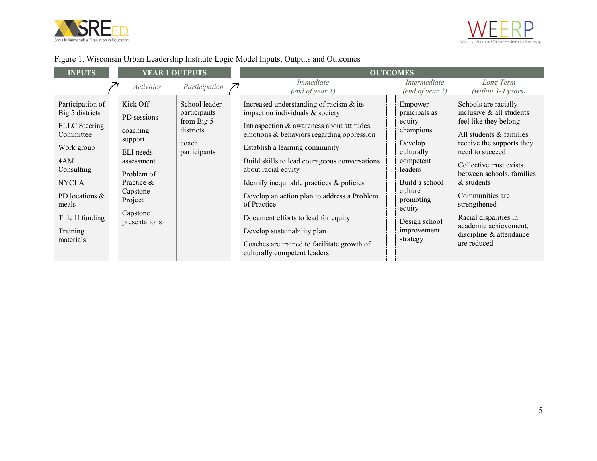



## Figure 1. Wisconsin Urban Leadership Institute Logic Model Inputs, Outputs and Outcomes

| <b>INPUTS</b>                                                                                                                                                                                       | <b>YEAR 1 OUTPUTS</b>                                                                                                                                     |                                                                                   | <b>OUTCOMES</b>                                                                                                                                                                                                                                                                                                                                                                                                                                                                                                                                       |  |                                                                                                                                                                                                  |                                                                                                                                                                                                                                                                                                                                                           |
|-----------------------------------------------------------------------------------------------------------------------------------------------------------------------------------------------------|-----------------------------------------------------------------------------------------------------------------------------------------------------------|-----------------------------------------------------------------------------------|-------------------------------------------------------------------------------------------------------------------------------------------------------------------------------------------------------------------------------------------------------------------------------------------------------------------------------------------------------------------------------------------------------------------------------------------------------------------------------------------------------------------------------------------------------|--|--------------------------------------------------------------------------------------------------------------------------------------------------------------------------------------------------|-----------------------------------------------------------------------------------------------------------------------------------------------------------------------------------------------------------------------------------------------------------------------------------------------------------------------------------------------------------|
|                                                                                                                                                                                                     | <i>Activities</i>                                                                                                                                         | Participation                                                                     | Immediate<br>(end of year I)                                                                                                                                                                                                                                                                                                                                                                                                                                                                                                                          |  | Intermediate<br>(end of year 2)                                                                                                                                                                  | Long Term<br>$(within 3-4 years)$                                                                                                                                                                                                                                                                                                                         |
| Participation of<br>Big 5 districts<br><b>ELLC</b> Steering<br>Committee<br>Work group<br>4AM<br>Consulting<br><b>NYCLA</b><br>PD locations &<br>meals<br>Title II funding<br>Training<br>materials | Kick Off<br>PD sessions<br>coaching<br>support<br>ELI needs<br>assessment<br>Problem of<br>Practice &<br>Capstone<br>Project<br>Capstone<br>presentations | School leader<br>participants<br>from Big 5<br>districts<br>coach<br>participants | Increased understanding of racism $\&$ its<br>impact on individuals & society<br>Introspection & awareness about attitudes,<br>emotions & behaviors regarding oppression<br>Establish a learning community<br>Build skills to lead courageous conversations<br>about racial equity<br>Identify inequitable practices $\&$ policies<br>Develop an action plan to address a Problem<br>of Practice<br>Document efforts to lead for equity<br>Develop sustainability plan<br>Coaches are trained to facilitate growth of<br>culturally competent leaders |  | Empower<br>principals as<br>equity<br>champions<br>Develop<br>culturally<br>competent<br>leaders<br>Build a school<br>culture<br>promoting<br>equity<br>Design school<br>improvement<br>strategy | Schools are racially<br>inclusive & all students<br>feel like they belong<br>All students & families<br>receive the supports they<br>need to succeed<br>Collective trust exists<br>between schools, families<br>& students<br>Communities are<br>strengthened<br>Racial disparities in<br>academic achievement,<br>discipline & attendance<br>are reduced |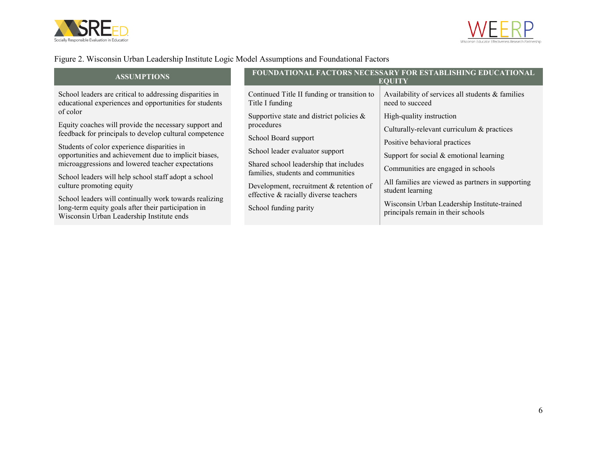



### Figure 2. Wisconsin Urban Leadership Institute Logic Model Assumptions and Foundational Factors

| <b>ASSUMPTIONS</b>                                                                                                                                                                                                                                                                                                                                                                                                                                                                                                                                                                                                                                               |                                                                                                                                                                                                                                                                                                                                                                                     | <b>FOUNDATIONAL FACTORS NECESSARY FOR ESTABLISHING EDUCATIONAL</b><br><b>EQUITY</b>                                                                                                                                                                                                                                                                                                                                              |
|------------------------------------------------------------------------------------------------------------------------------------------------------------------------------------------------------------------------------------------------------------------------------------------------------------------------------------------------------------------------------------------------------------------------------------------------------------------------------------------------------------------------------------------------------------------------------------------------------------------------------------------------------------------|-------------------------------------------------------------------------------------------------------------------------------------------------------------------------------------------------------------------------------------------------------------------------------------------------------------------------------------------------------------------------------------|----------------------------------------------------------------------------------------------------------------------------------------------------------------------------------------------------------------------------------------------------------------------------------------------------------------------------------------------------------------------------------------------------------------------------------|
| School leaders are critical to addressing disparities in<br>educational experiences and opportunities for students<br>of color<br>Equity coaches will provide the necessary support and<br>feedback for principals to develop cultural competence<br>Students of color experience disparities in<br>opportunities and achievement due to implicit biases,<br>microaggressions and lowered teacher expectations<br>School leaders will help school staff adopt a school<br>culture promoting equity<br>School leaders will continually work towards realizing<br>long-term equity goals after their participation in<br>Wisconsin Urban Leadership Institute ends | Continued Title II funding or transition to<br>Title I funding<br>Supportive state and district policies $\&$<br>procedures<br>School Board support<br>School leader evaluator support<br>Shared school leadership that includes<br>families, students and communities<br>Development, recruitment & retention of<br>effective & racially diverse teachers<br>School funding parity | Availability of services all students & families<br>need to succeed<br>High-quality instruction<br>Culturally-relevant curriculum & practices<br>Positive behavioral practices<br>Support for social $&$ emotional learning<br>Communities are engaged in schools<br>All families are viewed as partners in supporting<br>student learning<br>Wisconsin Urban Leadership Institute-trained<br>principals remain in their schools |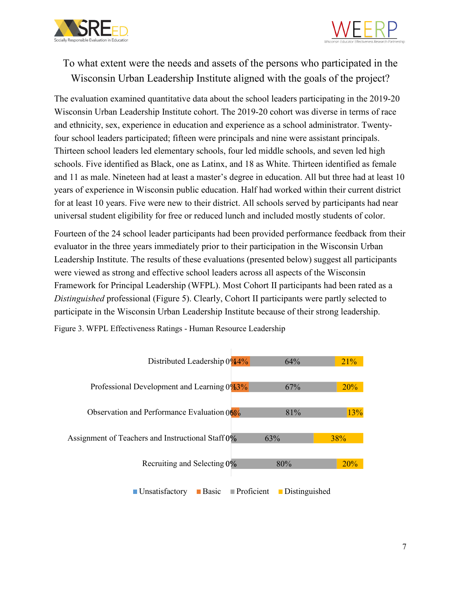



## <span id="page-9-0"></span>To what extent were the needs and assets of the persons who participated in the Wisconsin Urban Leadership Institute aligned with the goals of the project?

The evaluation examined quantitative data about the school leaders participating in the 2019-20 Wisconsin Urban Leadership Institute cohort. The 2019-20 cohort was diverse in terms of race and ethnicity, sex, experience in education and experience as a school administrator. Twentyfour school leaders participated; fifteen were principals and nine were assistant principals. Thirteen school leaders led elementary schools, four led middle schools, and seven led high schools. Five identified as Black, one as Latinx, and 18 as White. Thirteen identified as female and 11 as male. Nineteen had at least a master's degree in education. All but three had at least 10 years of experience in Wisconsin public education. Half had worked within their current district for at least 10 years. Five were new to their district. All schools served by participants had near universal student eligibility for free or reduced lunch and included mostly students of color.

Fourteen of the 24 school leader participants had been provided performance feedback from their evaluator in the three years immediately prior to their participation in the Wisconsin Urban Leadership Institute. The results of these evaluations (presented below) suggest all participants were viewed as strong and effective school leaders across all aspects of the Wisconsin Framework for Principal Leadership (WFPL). Most Cohort II participants had been rated as a *Distinguished* professional (Figure 5). Clearly, Cohort II participants were partly selected to participate in the Wisconsin Urban Leadership Institute because of their strong leadership.



Figure 3. WFPL Effectiveness Ratings - Human Resource Leadership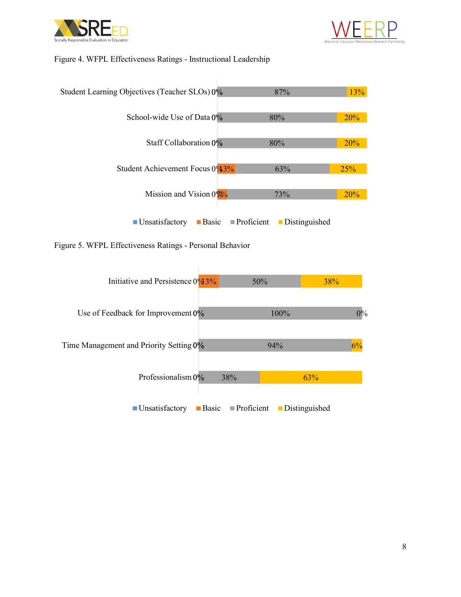



#### Figure 4. WFPL Effectiveness Ratings - Instructional Leadership



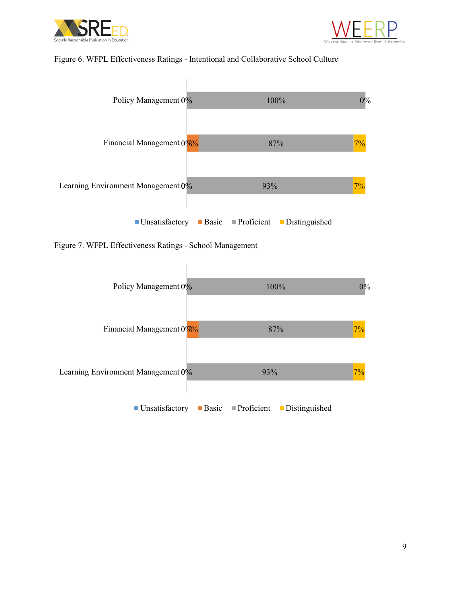



#### Figure 6. WFPL Effectiveness Ratings - Intentional and Collaborative School Culture

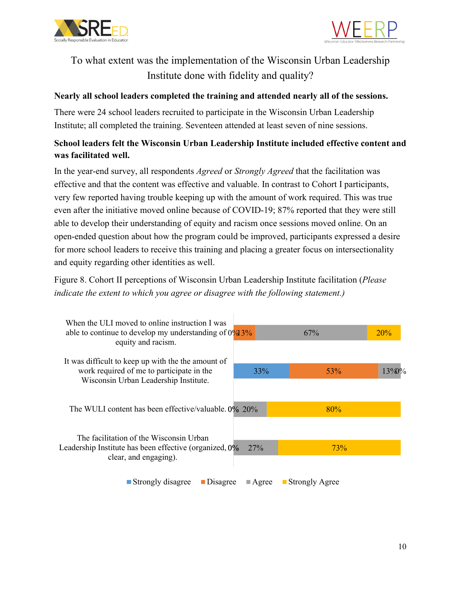



## <span id="page-12-0"></span>To what extent was the implementation of the Wisconsin Urban Leadership Institute done with fidelity and quality?

### <span id="page-12-1"></span>**Nearly all school leaders completed the training and attended nearly all of the sessions.**

There were 24 school leaders recruited to participate in the Wisconsin Urban Leadership Institute; all completed the training. Seventeen attended at least seven of nine sessions.

### <span id="page-12-2"></span>**School leaders felt the Wisconsin Urban Leadership Institute included effective content and was facilitated well.**

In the year-end survey, all respondents *Agreed* or *Strongly Agreed* that the facilitation was effective and that the content was effective and valuable. In contrast to Cohort I participants, very few reported having trouble keeping up with the amount of work required. This was true even after the initiative moved online because of COVID-19; 87% reported that they were still able to develop their understanding of equity and racism once sessions moved online. On an open-ended question about how the program could be improved, participants expressed a desire for more school leaders to receive this training and placing a greater focus on intersectionality and equity regarding other identities as well.

Figure 8. Cohort II perceptions of Wisconsin Urban Leadership Institute facilitation (*Please indicate the extent to which you agree or disagree with the following statement.)*

| When the ULI moved to online instruction I was<br>able to continue to develop my understanding of $0\%13\%$<br>equity and racism. |                      | 67%              |     | 20%      |
|-----------------------------------------------------------------------------------------------------------------------------------|----------------------|------------------|-----|----------|
| It was difficult to keep up with the the amount of<br>work required of me to participate in the                                   | 33%                  | 53%              |     | $13\%$ % |
| Wisconsin Urban Leadership Institute.<br>The WULI content has been effective/valuable. 0% 20%                                     |                      | 80%              |     |          |
| The facilitation of the Wisconsin Urban                                                                                           |                      |                  |     |          |
| Leadership Institute has been effective (organized, 0%<br>clear, and engaging).                                                   | 27%                  |                  | 73% |          |
| Strongly disagree<br>Disagree                                                                                                     | $\blacksquare$ Agree | ■ Strongly Agree |     |          |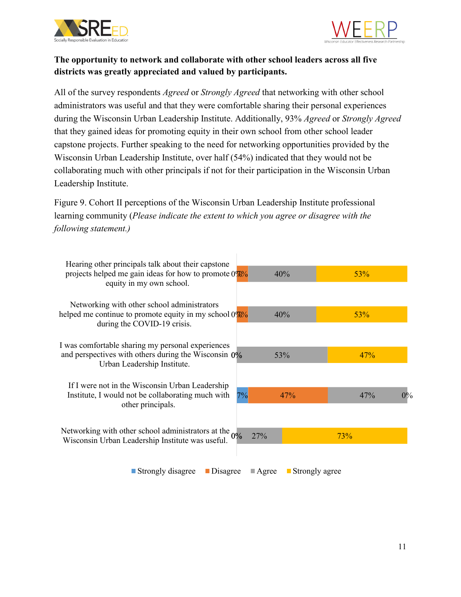



### <span id="page-13-0"></span>**The opportunity to network and collaborate with other school leaders across all five districts was greatly appreciated and valued by participants.**

All of the survey respondents *Agreed* or *Strongly Agreed* that networking with other school administrators was useful and that they were comfortable sharing their personal experiences during the Wisconsin Urban Leadership Institute. Additionally, 93% *Agreed* or *Strongly Agreed* that they gained ideas for promoting equity in their own school from other school leader capstone projects. Further speaking to the need for networking opportunities provided by the Wisconsin Urban Leadership Institute, over half (54%) indicated that they would not be collaborating much with other principals if not for their participation in the Wisconsin Urban Leadership Institute.

Figure 9. Cohort II perceptions of the Wisconsin Urban Leadership Institute professional learning community (*Please indicate the extent to which you agree or disagree with the following statement.)*

| Hearing other principals talk about their capstone<br>projects helped me gain ideas for how to promote $0\%$ %<br>equity in my own school.  |     | 40% | 53%        |       |
|---------------------------------------------------------------------------------------------------------------------------------------------|-----|-----|------------|-------|
| Networking with other school administrators<br>helped me continue to promote equity in my school $0\%$ %<br>during the COVID-19 crisis.     |     | 40% | <b>53%</b> |       |
| I was comfortable sharing my personal experiences<br>and perspectives with others during the Wisconsin $0\%$<br>Urban Leadership Institute. |     | 53% | 47%        |       |
| If I were not in the Wisconsin Urban Leadership<br>Institute, I would not be collaborating much with<br>other principals.                   | 7%  | 47% | 47%        | $0\%$ |
| Networking with other school administrators at the $0\%$<br>Wisconsin Urban Leadership Institute was useful.                                | 27% |     | 73%        |       |

Strongly disagree Disagree Agree Strongly agree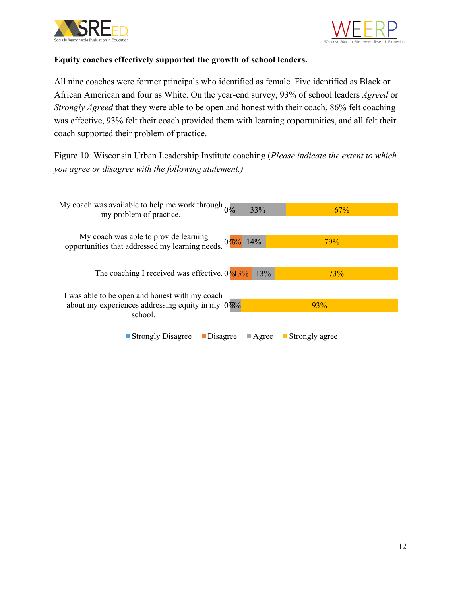



### **Equity coaches effectively supported the growth of school leaders.**

All nine coaches were former principals who identified as female. Five identified as Black or African American and four as White. On the year-end survey, 93% of school leaders *Agreed* or *Strongly Agreed* that they were able to be open and honest with their coach, 86% felt coaching was effective, 93% felt their coach provided them with learning opportunities, and all felt their coach supported their problem of practice.

Figure 10. Wisconsin Urban Leadership Institute coaching (*Please indicate the extent to which you agree or disagree with the following statement.)*

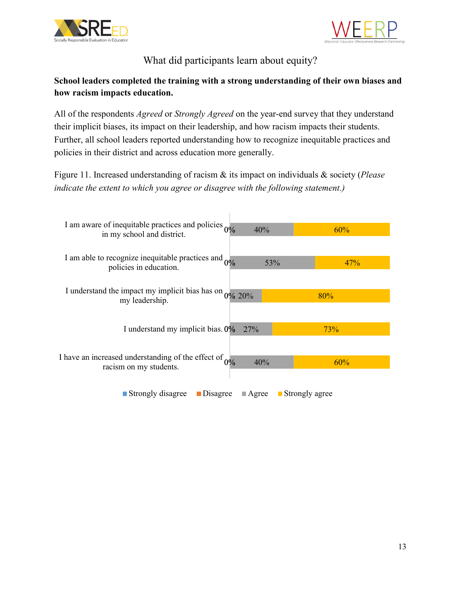



What did participants learn about equity?

## <span id="page-15-1"></span><span id="page-15-0"></span>**School leaders completed the training with a strong understanding of their own biases and how racism impacts education.**

All of the respondents *Agreed* or *Strongly Agreed* on the year-end survey that they understand their implicit biases, its impact on their leadership, and how racism impacts their students. Further, all school leaders reported understanding how to recognize inequitable practices and policies in their district and across education more generally.

Figure 11. Increased understanding of racism & its impact on individuals & society (*Please indicate the extent to which you agree or disagree with the following statement.)*

| I am aware of inequitable practices and policies $0\%$<br>in my school and district.  | 40%                  |                               | 60% |
|---------------------------------------------------------------------------------------|----------------------|-------------------------------|-----|
| I am able to recognize inequitable practices and $0\%$<br>policies in education.      |                      | 53%                           | 47% |
| I understand the impact my implicit bias has on $0\%$ 20%<br>my leadership.           |                      |                               | 80% |
| I understand my implicit bias. 0%                                                     | <b>27%</b>           |                               | 73% |
| I have an increased understanding of the effect of $_{0\%}$<br>racism on my students. | 40%                  |                               | 60% |
| ■ Strongly disagree<br><b>D</b> isagree                                               | $\blacksquare$ Agree | $\blacksquare$ Strongly agree |     |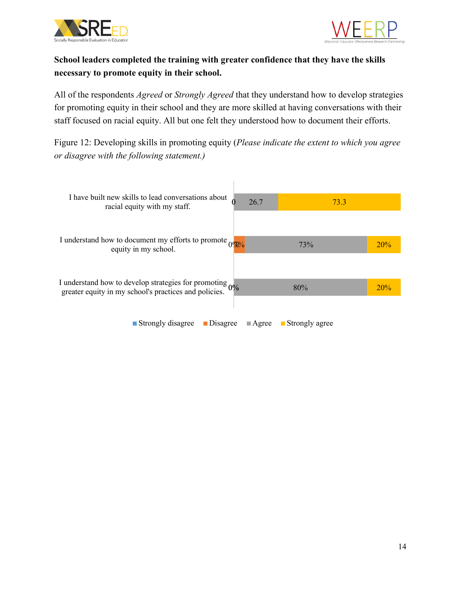



## **School leaders completed the training with greater confidence that they have the skills necessary to promote equity in their school.**

All of the respondents *Agreed* or *Strongly Agreed* that they understand how to develop strategies for promoting equity in their school and they are more skilled at having conversations with their staff focused on racial equity. All but one felt they understood how to document their efforts.

Figure 12: Developing skills in promoting equity (*Please indicate the extent to which you agree or disagree with the following statement.)*

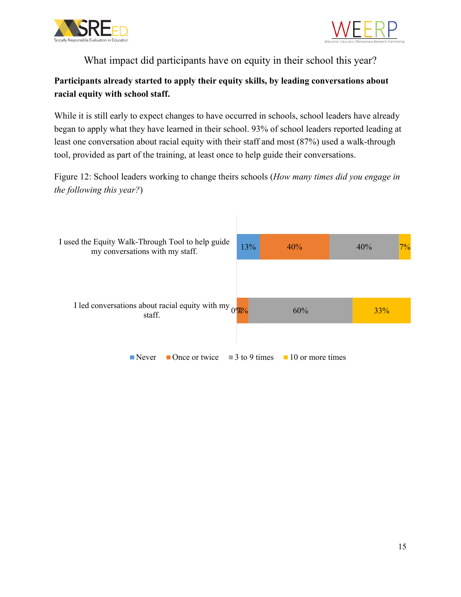



What impact did participants have on equity in their school this year?

## <span id="page-17-0"></span>**Participants already started to apply their equity skills, by leading conversations about racial equity with school staff.**

While it is still early to expect changes to have occurred in schools, school leaders have already began to apply what they have learned in their school. 93% of school leaders reported leading at least one conversation about racial equity with their staff and most (87%) used a walk-through tool, provided as part of the training, at least once to help guide their conversations.

Figure 12: School leaders working to change theirs schools (*How many times did you engage in the following this year?*)

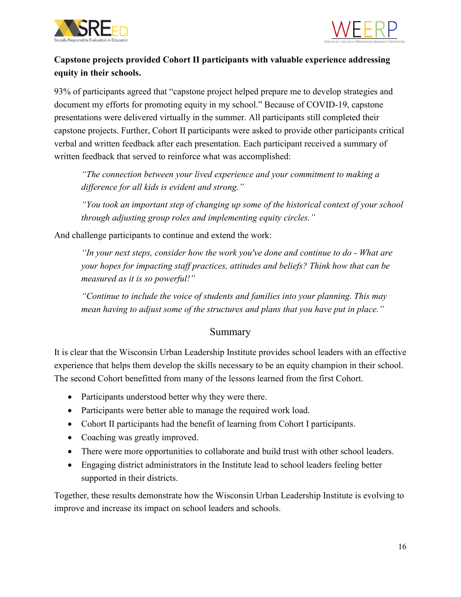



## **Capstone projects provided Cohort II participants with valuable experience addressing equity in their schools.**

93% of participants agreed that "capstone project helped prepare me to develop strategies and document my efforts for promoting equity in my school." Because of COVID-19, capstone presentations were delivered virtually in the summer. All participants still completed their capstone projects. Further, Cohort II participants were asked to provide other participants critical verbal and written feedback after each presentation. Each participant received a summary of written feedback that served to reinforce what was accomplished:

*"The connection between your lived experience and your commitment to making a difference for all kids is evident and strong."*

*"You took an important step of changing up some of the historical context of your school through adjusting group roles and implementing equity circles."*

And challenge participants to continue and extend the work:

*"In your next steps, consider how the work you've done and continue to do - What are your hopes for impacting staff practices, attitudes and beliefs? Think how that can be measured as it is so powerful!"*

*"Continue to include the voice of students and families into your planning. This may mean having to adjust some of the structures and plans that you have put in place."*

## Summary

<span id="page-18-0"></span>It is clear that the Wisconsin Urban Leadership Institute provides school leaders with an effective experience that helps them develop the skills necessary to be an equity champion in their school. The second Cohort benefitted from many of the lessons learned from the first Cohort.

- Participants understood better why they were there.
- Participants were better able to manage the required work load.
- Cohort II participants had the benefit of learning from Cohort I participants.
- Coaching was greatly improved.
- There were more opportunities to collaborate and build trust with other school leaders.
- Engaging district administrators in the Institute lead to school leaders feeling better supported in their districts.

Together, these results demonstrate how the Wisconsin Urban Leadership Institute is evolving to improve and increase its impact on school leaders and schools.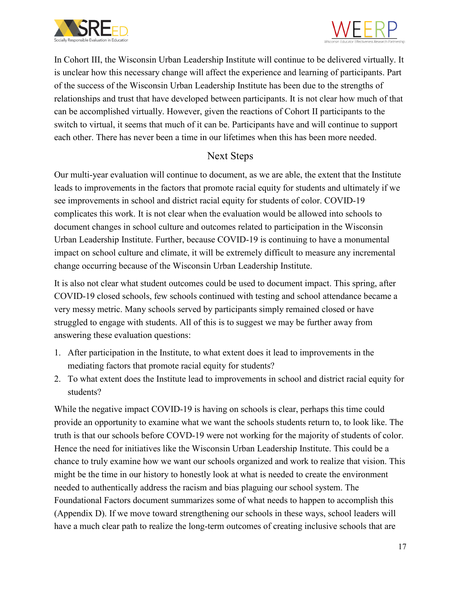



In Cohort III, the Wisconsin Urban Leadership Institute will continue to be delivered virtually. It is unclear how this necessary change will affect the experience and learning of participants. Part of the success of the Wisconsin Urban Leadership Institute has been due to the strengths of relationships and trust that have developed between participants. It is not clear how much of that can be accomplished virtually. However, given the reactions of Cohort II participants to the switch to virtual, it seems that much of it can be. Participants have and will continue to support each other. There has never been a time in our lifetimes when this has been more needed.

## Next Steps

<span id="page-19-0"></span>Our multi-year evaluation will continue to document, as we are able, the extent that the Institute leads to improvements in the factors that promote racial equity for students and ultimately if we see improvements in school and district racial equity for students of color. COVID-19 complicates this work. It is not clear when the evaluation would be allowed into schools to document changes in school culture and outcomes related to participation in the Wisconsin Urban Leadership Institute. Further, because COVID-19 is continuing to have a monumental impact on school culture and climate, it will be extremely difficult to measure any incremental change occurring because of the Wisconsin Urban Leadership Institute.

It is also not clear what student outcomes could be used to document impact. This spring, after COVID-19 closed schools, few schools continued with testing and school attendance became a very messy metric. Many schools served by participants simply remained closed or have struggled to engage with students. All of this is to suggest we may be further away from answering these evaluation questions:

- 1. After participation in the Institute, to what extent does it lead to improvements in the mediating factors that promote racial equity for students?
- 2. To what extent does the Institute lead to improvements in school and district racial equity for students?

While the negative impact COVID-19 is having on schools is clear, perhaps this time could provide an opportunity to examine what we want the schools students return to, to look like. The truth is that our schools before COVD-19 were not working for the majority of students of color. Hence the need for initiatives like the Wisconsin Urban Leadership Institute. This could be a chance to truly examine how we want our schools organized and work to realize that vision. This might be the time in our history to honestly look at what is needed to create the environment needed to authentically address the racism and bias plaguing our school system. The Foundational Factors document summarizes some of what needs to happen to accomplish this (Appendix D). If we move toward strengthening our schools in these ways, school leaders will have a much clear path to realize the long-term outcomes of creating inclusive schools that are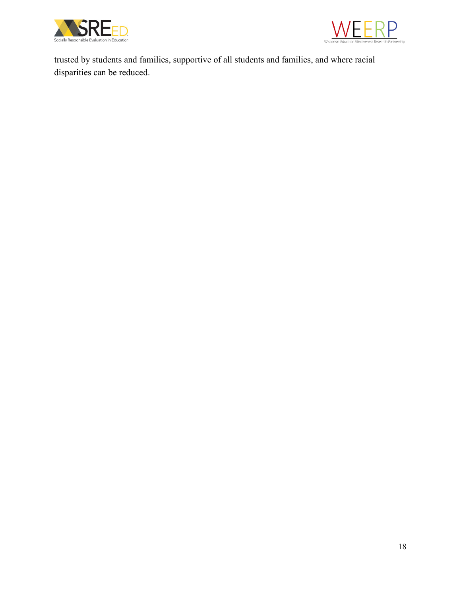



trusted by students and families, supportive of all students and families, and where racial disparities can be reduced.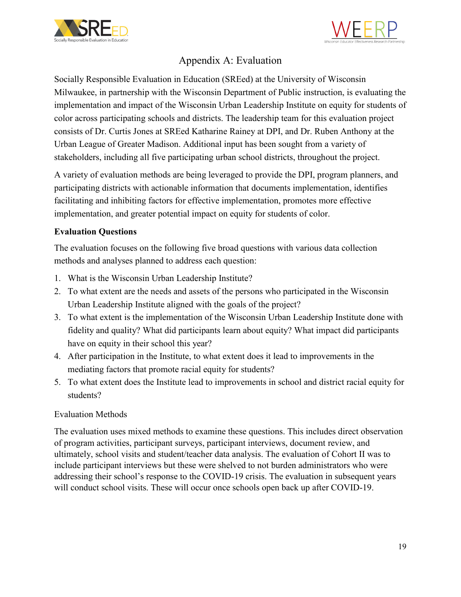



## Appendix A: Evaluation

<span id="page-21-0"></span>Socially Responsible Evaluation in Education (SREed) at the University of Wisconsin Milwaukee, in partnership with the Wisconsin Department of Public instruction, is evaluating the implementation and impact of the Wisconsin Urban Leadership Institute on equity for students of color across participating schools and districts. The leadership team for this evaluation project consists of Dr. Curtis Jones at SREed Katharine Rainey at DPI, and Dr. Ruben Anthony at the Urban League of Greater Madison. Additional input has been sought from a variety of stakeholders, including all five participating urban school districts, throughout the project.

A variety of evaluation methods are being leveraged to provide the DPI, program planners, and participating districts with actionable information that documents implementation, identifies facilitating and inhibiting factors for effective implementation, promotes more effective implementation, and greater potential impact on equity for students of color.

### <span id="page-21-1"></span>**Evaluation Questions**

The evaluation focuses on the following five broad questions with various data collection methods and analyses planned to address each question:

- 1. What is the Wisconsin Urban Leadership Institute?
- 2. To what extent are the needs and assets of the persons who participated in the Wisconsin Urban Leadership Institute aligned with the goals of the project?
- 3. To what extent is the implementation of the Wisconsin Urban Leadership Institute done with fidelity and quality? What did participants learn about equity? What impact did participants have on equity in their school this year?
- 4. After participation in the Institute, to what extent does it lead to improvements in the mediating factors that promote racial equity for students?
- 5. To what extent does the Institute lead to improvements in school and district racial equity for students?

### Evaluation Methods

The evaluation uses mixed methods to examine these questions. This includes direct observation of program activities, participant surveys, participant interviews, document review, and ultimately, school visits and student/teacher data analysis. The evaluation of Cohort II was to include participant interviews but these were shelved to not burden administrators who were addressing their school's response to the COVID-19 crisis. The evaluation in subsequent years will conduct school visits. These will occur once schools open back up after COVID-19.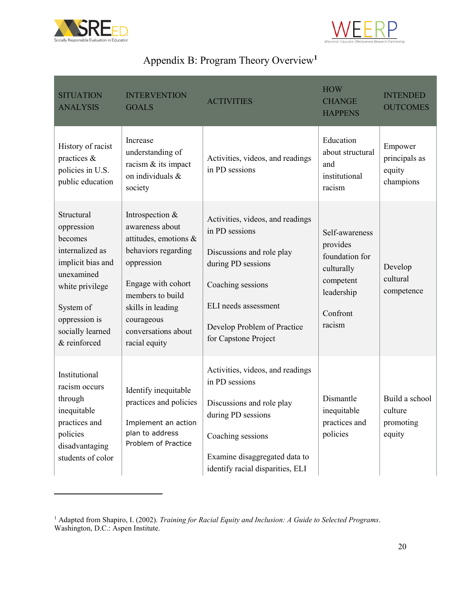

 $\overline{a}$ 



## Appendix B: Program Theory Overview**[1](#page-22-1)**

<span id="page-22-0"></span>

| <b>SITUATION</b><br><b>ANALYSIS</b>                                                                                                                                            | <b>INTERVENTION</b><br><b>GOALS</b>                                                                                                                                                                                   | <b>ACTIVITIES</b>                                                                                                                                                                                         | <b>HOW</b><br><b>CHANGE</b><br><b>HAPPENS</b>                                                               | <b>INTENDED</b><br><b>OUTCOMES</b>               |
|--------------------------------------------------------------------------------------------------------------------------------------------------------------------------------|-----------------------------------------------------------------------------------------------------------------------------------------------------------------------------------------------------------------------|-----------------------------------------------------------------------------------------------------------------------------------------------------------------------------------------------------------|-------------------------------------------------------------------------------------------------------------|--------------------------------------------------|
| History of racist<br>practices &<br>policies in U.S.<br>public education                                                                                                       | Increase<br>understanding of<br>racism & its impact<br>on individuals &<br>society                                                                                                                                    | Activities, videos, and readings<br>in PD sessions                                                                                                                                                        | Education<br>about structural<br>and<br>institutional<br>racism                                             | Empower<br>principals as<br>equity<br>champions  |
| Structural<br>oppression<br>becomes<br>internalized as<br>implicit bias and<br>unexamined<br>white privilege<br>System of<br>oppression is<br>socially learned<br>& reinforced | Introspection &<br>awareness about<br>attitudes, emotions &<br>behaviors regarding<br>oppression<br>Engage with cohort<br>members to build<br>skills in leading<br>courageous<br>conversations about<br>racial equity | Activities, videos, and readings<br>in PD sessions<br>Discussions and role play<br>during PD sessions<br>Coaching sessions<br>ELI needs assessment<br>Develop Problem of Practice<br>for Capstone Project | Self-awareness<br>provides<br>foundation for<br>culturally<br>competent<br>leadership<br>Confront<br>racism | Develop<br>cultural<br>competence                |
| Institutional<br>racism occurs<br>through<br>inequitable<br>practices and<br>policies<br>disadvantaging<br>students of color                                                   | Identify inequitable<br>practices and policies<br>Implement an action<br>plan to address<br>Problem of Practice                                                                                                       | Activities, videos, and readings<br>in PD sessions<br>Discussions and role play<br>during PD sessions<br>Coaching sessions<br>Examine disaggregated data to<br>identify racial disparities, ELI           | Dismantle<br>inequitable<br>practices and<br>policies                                                       | Build a school<br>culture<br>promoting<br>equity |

<span id="page-22-1"></span><sup>1</sup> Adapted from Shapiro, I. (2002). *Training for Racial Equity and Inclusion: A Guide to Selected Programs*. Washington, D.C.: Aspen Institute.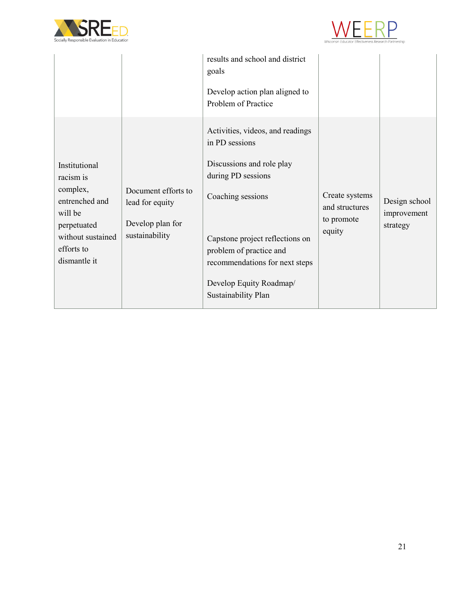



|                                                                                                                                       |                                                                              | results and school and district<br>goals<br>Develop action plan aligned to<br>Problem of Practice                                                                                                                                                                            |                                                          |                                          |
|---------------------------------------------------------------------------------------------------------------------------------------|------------------------------------------------------------------------------|------------------------------------------------------------------------------------------------------------------------------------------------------------------------------------------------------------------------------------------------------------------------------|----------------------------------------------------------|------------------------------------------|
| Institutional<br>racism is<br>complex,<br>entrenched and<br>will be<br>perpetuated<br>without sustained<br>efforts to<br>dismantle it | Document efforts to<br>lead for equity<br>Develop plan for<br>sustainability | Activities, videos, and readings<br>in PD sessions<br>Discussions and role play<br>during PD sessions<br>Coaching sessions<br>Capstone project reflections on<br>problem of practice and<br>recommendations for next steps<br>Develop Equity Roadmap/<br>Sustainability Plan | Create systems<br>and structures<br>to promote<br>equity | Design school<br>improvement<br>strategy |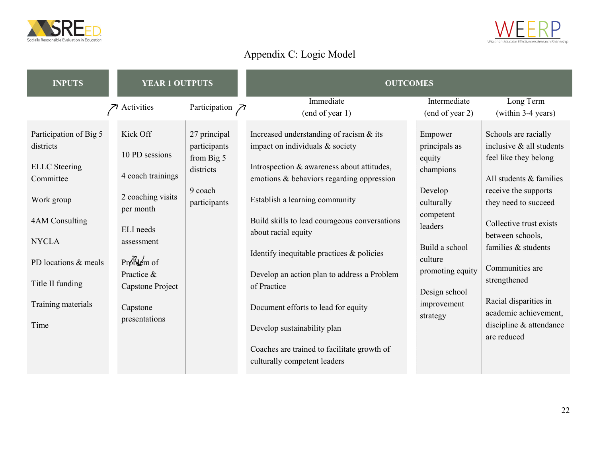



# Appendix C: Logic Model

<span id="page-24-0"></span>

| <b>INPUTS</b>                        | <b>YEAR 1 OUTPUTS</b>          |                              | <b>OUTCOMES</b>                                                                         |                                   |                                                  |
|--------------------------------------|--------------------------------|------------------------------|-----------------------------------------------------------------------------------------|-----------------------------------|--------------------------------------------------|
|                                      | Activities                     | Participation $\n  7\n$      | Immediate                                                                               | Intermediate                      | Long Term                                        |
|                                      |                                |                              | (end of year 1)                                                                         | (end of year 2)                   | (within 3-4 years)                               |
| Participation of Big 5<br>districts  | Kick Off<br>10 PD sessions     | 27 principal<br>participants | Increased understanding of racism & its<br>impact on individuals & society              | Empower<br>principals as          | Schools are racially<br>inclusive & all students |
| <b>ELLC</b> Steering<br>Committee    | 4 coach trainings              | from Big 5<br>districts      | Introspection & awareness about attitudes,<br>emotions & behaviors regarding oppression | equity<br>champions               | feel like they belong<br>All students & families |
| Work group                           | 2 coaching visits<br>per month | 9 coach<br>participants      | Establish a learning community                                                          | Develop<br>culturally             | receive the supports<br>they need to succeed     |
| 4AM Consulting                       | ELI needs                      |                              | Build skills to lead courageous conversations<br>about racial equity                    | competent<br>leaders              | Collective trust exists<br>between schools,      |
| <b>NYCLA</b><br>PD locations & meals | assessment<br>$Probk$ em of    |                              | Identify inequitable practices & policies                                               | Build a school<br>culture         | families & students                              |
| Title II funding                     | Practice &<br>Capstone Project |                              | Develop an action plan to address a Problem<br>of Practice                              | promoting equity<br>Design school | Communities are<br>strengthened                  |
| Training materials                   | Capstone<br>presentations      |                              | Document efforts to lead for equity                                                     | improvement<br>strategy           | Racial disparities in<br>academic achievement,   |
| Time                                 |                                |                              | Develop sustainability plan                                                             |                                   | discipline & attendance<br>are reduced           |
|                                      |                                |                              | Coaches are trained to facilitate growth of                                             |                                   |                                                  |
|                                      |                                |                              | culturally competent leaders                                                            |                                   |                                                  |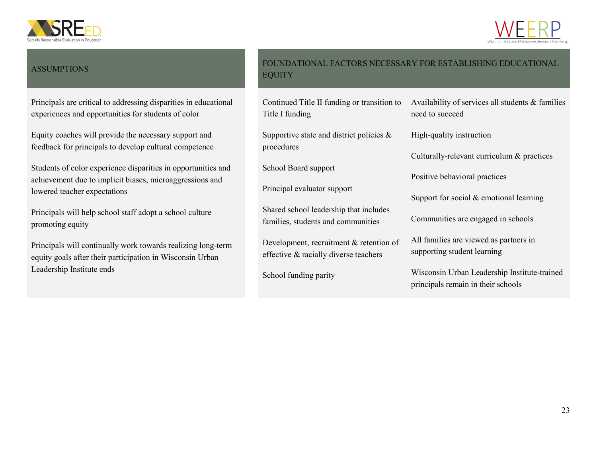



### **ASSUMPTIONS**

Principals are critical to addressing disparities in educational experiences and opportunities for students of color

Equity coaches will provide the necessary support and feedback for principals to develop cultural competence

Students of color experience disparities in opportunities and achievement due to implicit biases, microaggressions and lowered teacher expectations

Principals will help school staff adopt a school culture promoting equity

Principals will continually work towards realizing long-term equity goals after their participation in Wisconsin Urban Leadership Institute ends

| <b>EQUITY</b>                                                                    | FOUNDATIONAL FACTORS NECESSARY FOR ESTABLISHING EDUCATIONAL                        |
|----------------------------------------------------------------------------------|------------------------------------------------------------------------------------|
| Continued Title II funding or transition to<br>Title I funding                   | Availability of services all students & families<br>need to succeed                |
| Supportive state and district policies $\&$                                      | High-quality instruction                                                           |
| procedures                                                                       | Culturally-relevant curriculum & practices                                         |
| School Board support                                                             | Positive behavioral practices                                                      |
| Principal evaluator support                                                      | Support for social $&$ emotional learning                                          |
| Shared school leadership that includes<br>families, students and communities     | Communities are engaged in schools                                                 |
| Development, recruitment & retention of<br>effective & racially diverse teachers | All families are viewed as partners in<br>supporting student learning              |
| School funding parity                                                            | Wisconsin Urban Leadership Institute-trained<br>principals remain in their schools |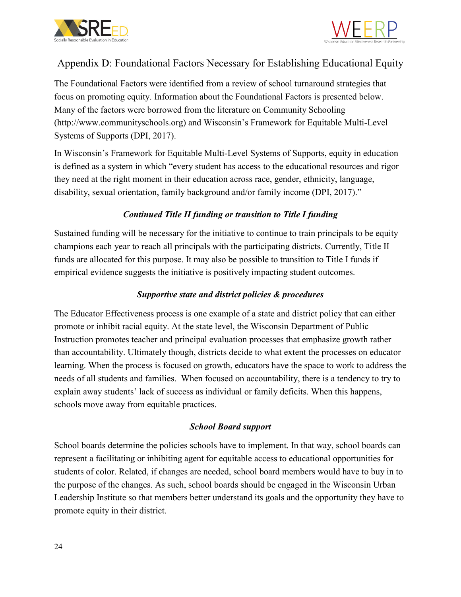



## <span id="page-26-0"></span>Appendix D: Foundational Factors Necessary for Establishing Educational Equity

The Foundational Factors were identified from a review of school turnaround strategies that focus on promoting equity. Information about the Foundational Factors is presented below. Many of the factors were borrowed from the literature on Community Schooling (http://www.communityschools.org) and Wisconsin's Framework for Equitable Multi-Level Systems of Supports (DPI, 2017).

In Wisconsin's Framework for Equitable Multi-Level Systems of Supports, equity in education is defined as a system in which "every student has access to the educational resources and rigor they need at the right moment in their education across race, gender, ethnicity, language, disability, sexual orientation, family background and/or family income (DPI, 2017)."

### *Continued Title II funding or transition to Title I funding*

Sustained funding will be necessary for the initiative to continue to train principals to be equity champions each year to reach all principals with the participating districts. Currently, Title II funds are allocated for this purpose. It may also be possible to transition to Title I funds if empirical evidence suggests the initiative is positively impacting student outcomes.

### *Supportive state and district policies & procedures*

The Educator Effectiveness process is one example of a state and district policy that can either promote or inhibit racial equity. At the state level, the Wisconsin Department of Public Instruction promotes teacher and principal evaluation processes that emphasize growth rather than accountability. Ultimately though, districts decide to what extent the processes on educator learning. When the process is focused on growth, educators have the space to work to address the needs of all students and families. When focused on accountability, there is a tendency to try to explain away students' lack of success as individual or family deficits. When this happens, schools move away from equitable practices.

### *School Board support*

School boards determine the policies schools have to implement. In that way, school boards can represent a facilitating or inhibiting agent for equitable access to educational opportunities for students of color. Related, if changes are needed, school board members would have to buy in to the purpose of the changes. As such, school boards should be engaged in the Wisconsin Urban Leadership Institute so that members better understand its goals and the opportunity they have to promote equity in their district.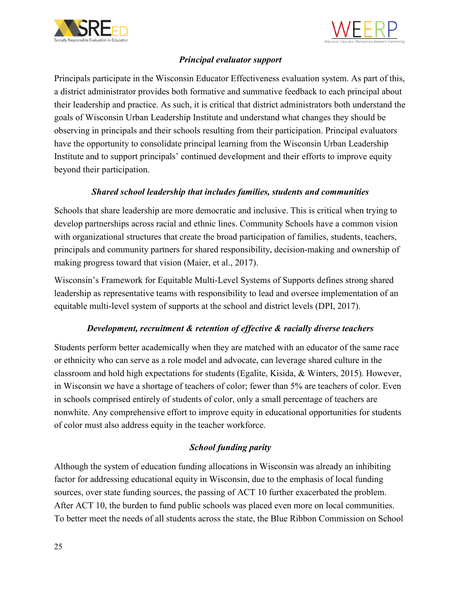



### *Principal evaluator support*

Principals participate in the Wisconsin Educator Effectiveness evaluation system. As part of this, a district administrator provides both formative and summative feedback to each principal about their leadership and practice. As such, it is critical that district administrators both understand the goals of Wisconsin Urban Leadership Institute and understand what changes they should be observing in principals and their schools resulting from their participation. Principal evaluators have the opportunity to consolidate principal learning from the Wisconsin Urban Leadership Institute and to support principals' continued development and their efforts to improve equity beyond their participation.

### *Shared school leadership that includes families, students and communities*

Schools that share leadership are more democratic and inclusive. This is critical when trying to develop partnerships across racial and ethnic lines. Community Schools have a common vision with organizational structures that create the broad participation of families, students, teachers, principals and community partners for shared responsibility, decision-making and ownership of making progress toward that vision (Maier, et al., 2017).

Wisconsin's Framework for Equitable Multi-Level Systems of Supports defines strong shared leadership as representative teams with responsibility to lead and oversee implementation of an equitable multi-level system of supports at the school and district levels (DPI, 2017).

### *Development, recruitment & retention of effective & racially diverse teachers*

Students perform better academically when they are matched with an educator of the same race or ethnicity who can serve as a role model and advocate, can leverage shared culture in the classroom and hold high expectations for students (Egalite, Kisida, & Winters, 2015). However, in Wisconsin we have a shortage of teachers of color; fewer than 5% are teachers of color. Even in schools comprised entirely of students of color, only a small percentage of teachers are nonwhite. Any comprehensive effort to improve equity in educational opportunities for students of color must also address equity in the teacher workforce.

### *School funding parity*

Although the system of education funding allocations in Wisconsin was already an inhibiting factor for addressing educational equity in Wisconsin, due to the emphasis of local funding sources, over state funding sources, the passing of ACT 10 further exacerbated the problem. After ACT 10, the burden to fund public schools was placed even more on local communities. To better meet the needs of all students across the state, the Blue Ribbon Commission on School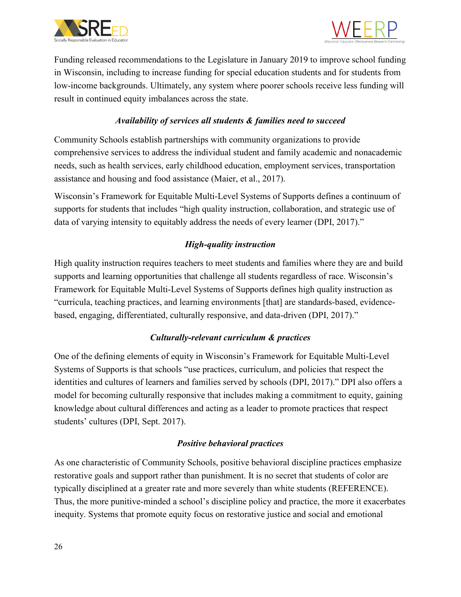



Funding released recommendations to the Legislature in January 2019 to improve school funding in Wisconsin, including to increase funding for special education students and for students from low-income backgrounds. Ultimately, any system where poorer schools receive less funding will result in continued equity imbalances across the state.

### *Availability of services all students & families need to succeed*

Community Schools establish partnerships with community organizations to provide comprehensive services to address the individual student and family academic and nonacademic needs, such as health services, early childhood education, employment services, transportation assistance and housing and food assistance (Maier, et al., 2017).

Wisconsin's Framework for Equitable Multi-Level Systems of Supports defines a continuum of supports for students that includes "high quality instruction, collaboration, and strategic use of data of varying intensity to equitably address the needs of every learner (DPI, 2017)."

### *High-quality instruction*

High quality instruction requires teachers to meet students and families where they are and build supports and learning opportunities that challenge all students regardless of race. Wisconsin's Framework for Equitable Multi-Level Systems of Supports defines high quality instruction as "curricula, teaching practices, and learning environments [that] are standards-based, evidencebased, engaging, differentiated, culturally responsive, and data-driven (DPI, 2017)."

### *Culturally-relevant curriculum & practices*

One of the defining elements of equity in Wisconsin's Framework for Equitable Multi-Level Systems of Supports is that schools "use practices, curriculum, and policies that respect the identities and cultures of learners and families served by schools (DPI, 2017)." DPI also offers a model for becoming culturally responsive that includes making a commitment to equity, gaining knowledge about cultural differences and acting as a leader to promote practices that respect students' cultures (DPI, Sept. 2017).

### *Positive behavioral practices*

As one characteristic of Community Schools, positive behavioral discipline practices emphasize restorative goals and support rather than punishment. It is no secret that students of color are typically disciplined at a greater rate and more severely than white students (REFERENCE). Thus, the more punitive-minded a school's discipline policy and practice, the more it exacerbates inequity. Systems that promote equity focus on restorative justice and social and emotional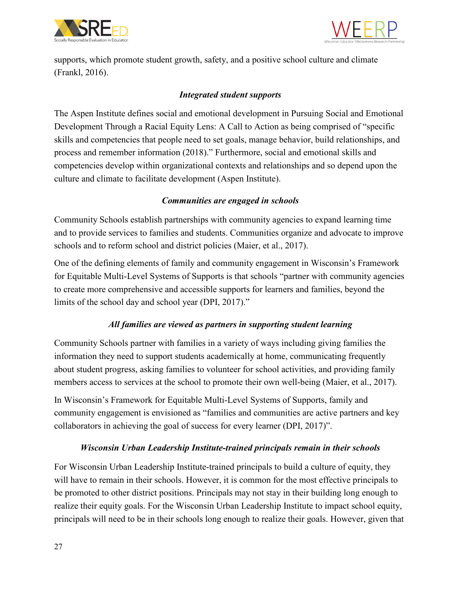



supports, which promote student growth, safety, and a positive school culture and climate (Frankl, 2016).

### *Integrated student supports*

The Aspen Institute defines social and emotional development in Pursuing Social and Emotional Development Through a Racial Equity Lens: A Call to Action as being comprised of "specific skills and competencies that people need to set goals, manage behavior, build relationships, and process and remember information (2018)." Furthermore, social and emotional skills and competencies develop within organizational contexts and relationships and so depend upon the culture and climate to facilitate development (Aspen Institute).

### *Communities are engaged in schools*

Community Schools establish partnerships with community agencies to expand learning time and to provide services to families and students. Communities organize and advocate to improve schools and to reform school and district policies (Maier, et al., 2017).

One of the defining elements of family and community engagement in Wisconsin's Framework for Equitable Multi-Level Systems of Supports is that schools "partner with community agencies to create more comprehensive and accessible supports for learners and families, beyond the limits of the school day and school year (DPI, 2017)."

### *All families are viewed as partners in supporting student learning*

Community Schools partner with families in a variety of ways including giving families the information they need to support students academically at home, communicating frequently about student progress, asking families to volunteer for school activities, and providing family members access to services at the school to promote their own well-being (Maier, et al., 2017).

In Wisconsin's Framework for Equitable Multi-Level Systems of Supports, family and community engagement is envisioned as "families and communities are active partners and key collaborators in achieving the goal of success for every learner (DPI, 2017)".

### *Wisconsin Urban Leadership Institute-trained principals remain in their schools*

For Wisconsin Urban Leadership Institute-trained principals to build a culture of equity, they will have to remain in their schools. However, it is common for the most effective principals to be promoted to other district positions. Principals may not stay in their building long enough to realize their equity goals. For the Wisconsin Urban Leadership Institute to impact school equity, principals will need to be in their schools long enough to realize their goals. However, given that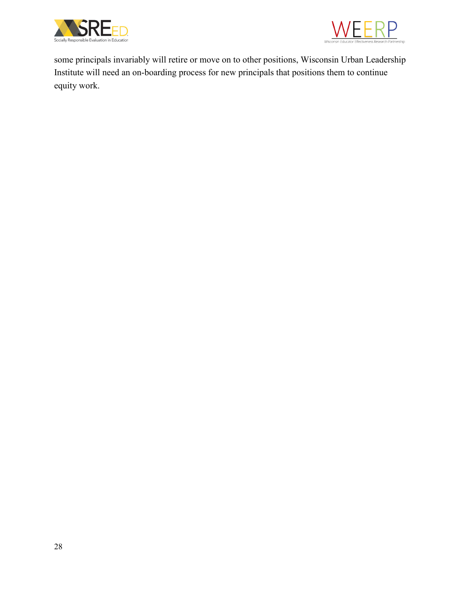



some principals invariably will retire or move on to other positions, Wisconsin Urban Leadership Institute will need an on-boarding process for new principals that positions them to continue equity work.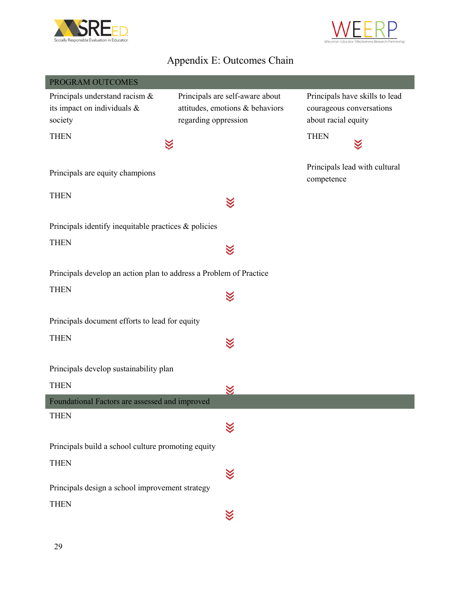



# Appendix E: Outcomes Chain

| PROGRAM OUTCOMES                                                   |                                 |                                             |
|--------------------------------------------------------------------|---------------------------------|---------------------------------------------|
| Principals understand racism &                                     | Principals are self-aware about | Principals have skills to lead              |
| its impact on individuals &                                        | attitudes, emotions & behaviors | courageous conversations                    |
| society                                                            | regarding oppression            | about racial equity                         |
| <b>THEN</b>                                                        |                                 | <b>THEN</b>                                 |
|                                                                    |                                 |                                             |
| Principals are equity champions                                    |                                 | Principals lead with cultural<br>competence |
| <b>THEN</b>                                                        | $\ll$                           |                                             |
| Principals identify inequitable practices & policies               |                                 |                                             |
| <b>THEN</b>                                                        | $\boldsymbol{\mathbb{X}}$       |                                             |
| Principals develop an action plan to address a Problem of Practice |                                 |                                             |
| <b>THEN</b>                                                        | $\boldsymbol{\leq}$             |                                             |
| Principals document efforts to lead for equity                     |                                 |                                             |
| <b>THEN</b>                                                        | $\boxtimes$                     |                                             |
| Principals develop sustainability plan                             |                                 |                                             |
| <b>THEN</b>                                                        | $\boxtimes$                     |                                             |
| Foundational Factors are assessed and improved                     |                                 |                                             |
| <b>THEN</b>                                                        |                                 |                                             |
| Principals build a school culture promoting equity                 |                                 |                                             |
| <b>THEN</b>                                                        |                                 |                                             |
|                                                                    |                                 |                                             |
| Principals design a school improvement strategy                    |                                 |                                             |
| <b>THEN</b>                                                        | 故                               |                                             |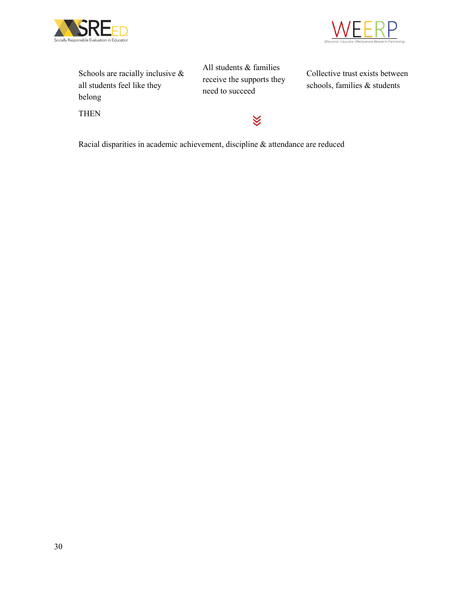



| Schools are racially inclusive $\&$ |
|-------------------------------------|
| all students feel like they         |
| belong                              |
| THEN                                |

All students & families receive the supports they need to succeed

X

Collective trust exists between schools, families & students

Racial disparities in academic achievement, discipline & attendance are reduced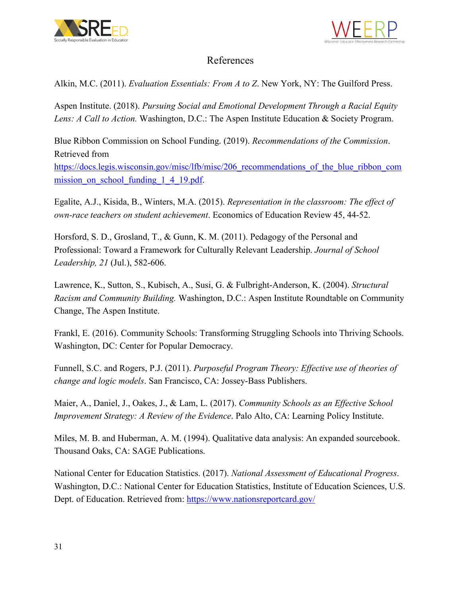



### References

<span id="page-33-0"></span>Alkin, M.C. (2011). *Evaluation Essentials: From A to Z*. New York, NY: The Guilford Press.

Aspen Institute. (2018). *Pursuing Social and Emotional Development Through a Racial Equity Lens: A Call to Action.* Washington, D.C.: The Aspen Institute Education & Society Program.

Blue Ribbon Commission on School Funding. (2019). *Recommendations of the Commission*. Retrieved from

https://docs.legis.wisconsin.gov/misc/lfb/misc/206 recommendations of the blue ribbon com mission on school funding 1 4 19.pdf.

Egalite, A.J., Kisida, B., Winters, M.A. (2015). *Representation in the classroom: The effect of own-race teachers on student achievement*. Economics of Education Review 45, 44-52.

Horsford, S. D., Grosland, T., & Gunn, K. M. (2011). Pedagogy of the Personal and Professional: Toward a Framework for Culturally Relevant Leadership. *Journal of School Leadership, 21* (Jul.), 582-606.

Lawrence, K., Sutton, S., Kubisch, A., Susi, G. & Fulbright-Anderson, K. (2004). *Structural Racism and Community Building.* Washington, D.C.: Aspen Institute Roundtable on Community Change, The Aspen Institute.

Frankl, E. (2016). Community Schools: Transforming Struggling Schools into Thriving Schools. Washington, DC: Center for Popular Democracy.

Funnell, S.C. and Rogers, P.J. (2011). *Purposeful Program Theory: Effective use of theories of change and logic models*. San Francisco, CA: Jossey-Bass Publishers.

Maier, A., Daniel, J., Oakes, J., & Lam, L. (2017). *Community Schools as an Effective School Improvement Strategy: A Review of the Evidence*. Palo Alto, CA: Learning Policy Institute.

Miles, M. B. and Huberman, A. M. (1994). Qualitative data analysis: An expanded sourcebook. Thousand Oaks, CA: SAGE Publications.

National Center for Education Statistics. (2017). *National Assessment of Educational Progress*. Washington, D.C.: National Center for Education Statistics, Institute of Education Sciences, U.S. Dept. of Education. Retrieved from:<https://www.nationsreportcard.gov/>